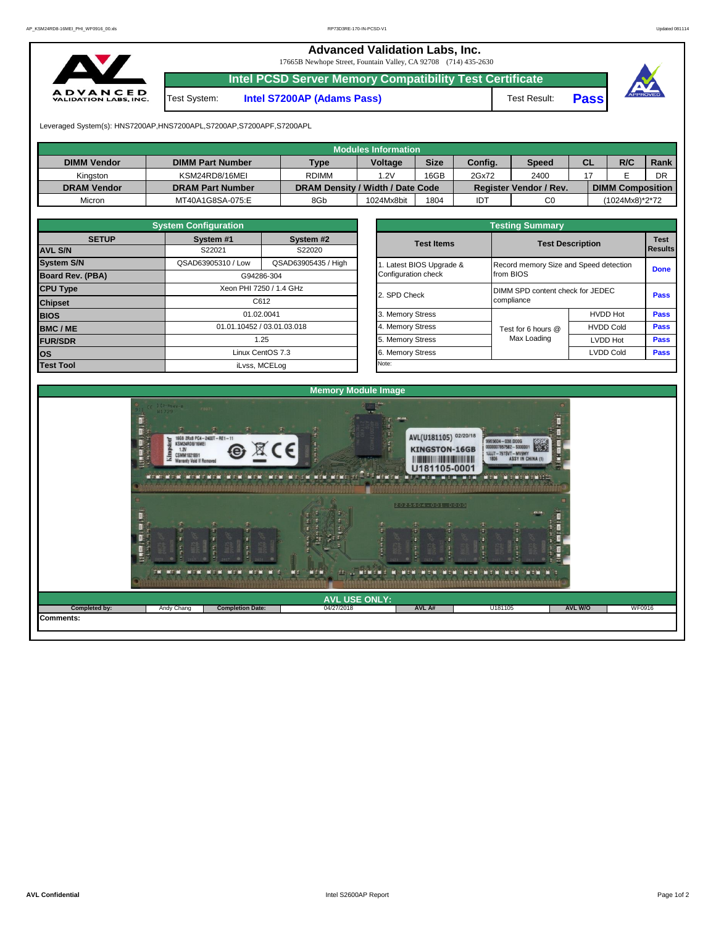**Advanced Validation Labs, Inc.** 

17665B Newhope Street, Fountain Valley, CA 92708 (714) 435-2630



**Intel PCSD Server Memory Compatibility Test Certificate**

Test System: **Intel S7200AP (Adams Pass)** Test Result: **Pass**





Leveraged System(s): HNS7200AP,HNS7200APL,S7200AP,S7200APF,S7200APL

|                    |                         |                                  | Modules Information |             |         |                               |    |                         |      |
|--------------------|-------------------------|----------------------------------|---------------------|-------------|---------|-------------------------------|----|-------------------------|------|
| <b>DIMM Vendor</b> | <b>DIMM Part Number</b> | <b>Type</b>                      | <b>Voltage</b>      | <b>Size</b> | Config. | Speed                         | CL | R/C                     | Rank |
| Kinaston           | KSM24RD8/16MEI          | <b>RDIMM</b>                     | .2V                 | 16GB        | 2Gx72   | 2400                          |    |                         | DR   |
| <b>DRAM Vendor</b> | <b>DRAM Part Number</b> | DRAM Density / Width / Date Code |                     |             |         | <b>Register Vendor / Rev.</b> |    | <b>DIMM Composition</b> |      |
| Micron             | MT40A1G8SA-075:E        | 8Gb                              | 1024Mx8bit          | 1804        | IDT     | C <sub>0</sub>                |    | (1024Mx8)*2*72          |      |

|                   | <b>System Configuration</b> |                            |                                  | <b>Testing Summary</b>                 |                         |             |  |  |  |  |
|-------------------|-----------------------------|----------------------------|----------------------------------|----------------------------------------|-------------------------|-------------|--|--|--|--|
| <b>SETUP</b>      | System #1                   | System #2                  | <b>Test Items</b>                |                                        | <b>Test Description</b> |             |  |  |  |  |
| <b>AVL S/N</b>    | S22021                      | S22020                     |                                  |                                        |                         |             |  |  |  |  |
| <b>System S/N</b> | QSAD63905310 / Low          | QSAD63905435 / High        | Latest BIOS Upgrade &            | Record memory Size and Speed detection | <b>Done</b>             |             |  |  |  |  |
| Board Rev. (PBA)  |                             | G94286-304                 | from BIOS                        |                                        |                         |             |  |  |  |  |
| <b>CPU Type</b>   | Xeon PHI 7250 / 1.4 GHz     | 2. SPD Check               | DIMM SPD content check for JEDEC |                                        | <b>Pass</b>             |             |  |  |  |  |
| <b>Chipset</b>    |                             | C612                       |                                  | compliance                             |                         |             |  |  |  |  |
| <b>BIOS</b>       | 01.02.0041                  |                            | 3. Memory Stress                 |                                        | <b>HVDD Hot</b>         | Pass        |  |  |  |  |
| <b>BMC/ME</b>     |                             | 01.01.10452 / 03.01.03.018 | 4. Memory Stress                 | Test for 6 hours @                     | <b>HVDD Cold</b>        | <b>Pass</b> |  |  |  |  |
| <b>FUR/SDR</b>    |                             | 1.25                       | 5. Memory Stress                 | Max Loading                            | <b>LVDD Hot</b>         | <b>Pass</b> |  |  |  |  |
| los               |                             | Linux CentOS 7.3           | 6. Memory Stress                 |                                        | <b>LVDD Cold</b>        | <b>Pass</b> |  |  |  |  |
| <b>Test Tool</b>  |                             | iLvss, MCELog              | Note:                            |                                        |                         |             |  |  |  |  |

|              | <b>System Configuration</b> |                                              |                     | <b>Testing Summary</b>           |                                        |             |  |  |  |
|--------------|-----------------------------|----------------------------------------------|---------------------|----------------------------------|----------------------------------------|-------------|--|--|--|
| <b>SETUP</b> | System #1                   | System #2                                    | <b>Test Items</b>   | <b>Test Description</b>          | <b>Test</b>                            |             |  |  |  |
|              | S22021                      | S22020                                       |                     |                                  | <b>Results</b>                         |             |  |  |  |
|              | QSAD63905310 / Low          | QSAD63905435 / High<br>Latest BIOS Upgrade & |                     |                                  | Record memory Size and Speed detection |             |  |  |  |
| PBA)         |                             | G94286-304                                   | Configuration check | from BIOS                        |                                        |             |  |  |  |
|              |                             | Xeon PHI 7250 / 1.4 GHz                      |                     | DIMM SPD content check for JEDEC |                                        |             |  |  |  |
|              |                             | C612                                         | 2. SPD Check        | compliance                       |                                        |             |  |  |  |
|              | 01.02.0041                  |                                              | 3. Memory Stress    |                                  | <b>HVDD Hot</b>                        | <b>Pass</b> |  |  |  |
|              |                             | 01.01.10452 / 03.01.03.018                   | 4. Memory Stress    | Test for 6 hours @               | <b>HVDD Cold</b>                       | <b>Pass</b> |  |  |  |
|              |                             | 1.25                                         | 5. Memory Stress    | Max Loading                      | LVDD Hot                               | Pass        |  |  |  |
|              |                             | Linux CentOS 7.3                             | 6. Memory Stress    |                                  | <b>LVDD Cold</b>                       | <b>Pass</b> |  |  |  |
|              |                             | il vee MCEL on                               | Note:               |                                  |                                        |             |  |  |  |